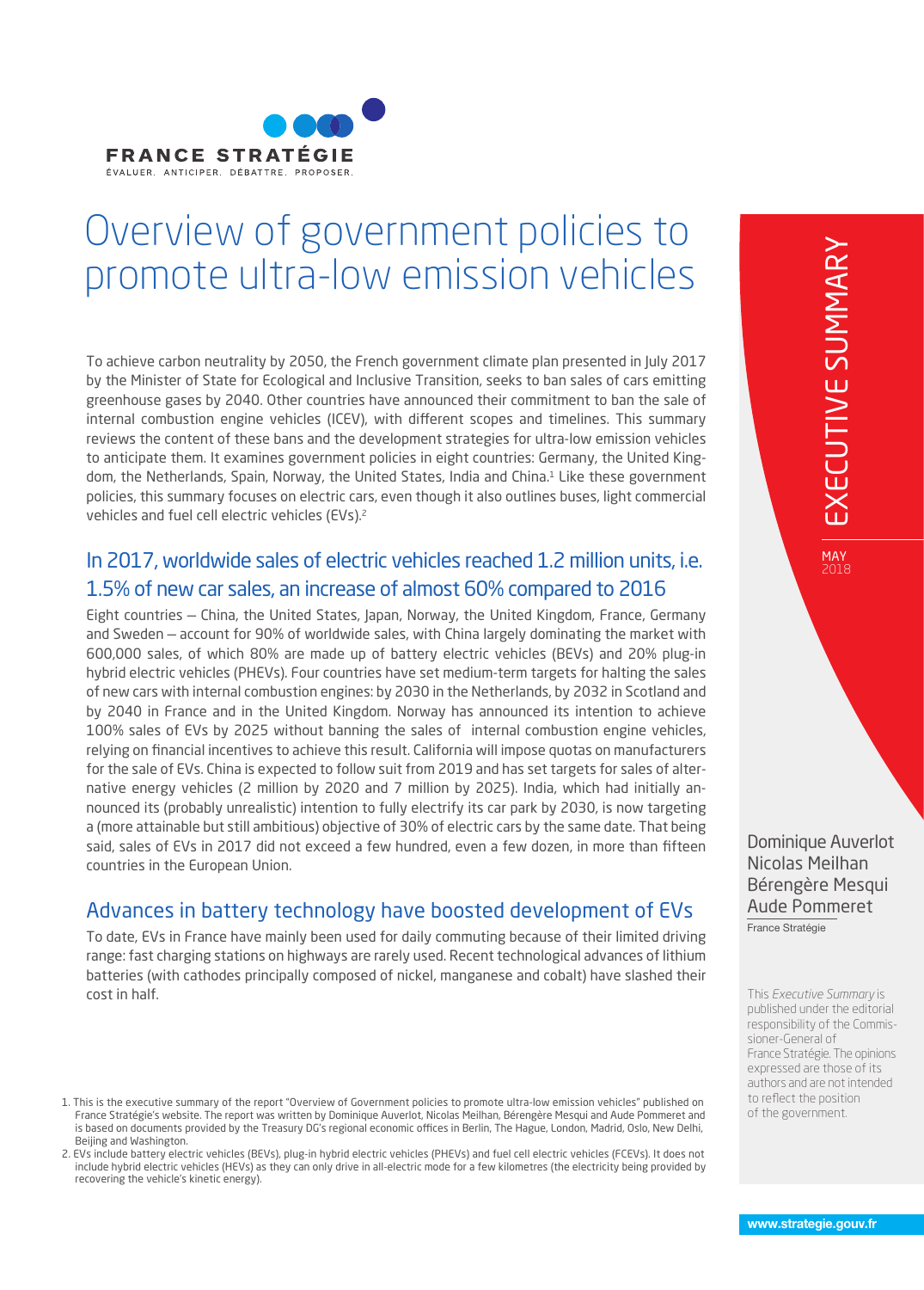

# Overview of government policies to promote ultra-low emission vehicles

To achieve carbon neutrality by 2050, the French government climate plan presented in July 2017 by the Minister of State for Ecological and Inclusive Transition, seeks to ban sales of cars emitting greenhouse gases by 2040. Other countries have announced their commitment to ban the sale of internal combustion engine vehicles (ICEV), with different scopes and timelines. This summary reviews the content of these bans and the development strategies for ultra-low emission vehicles to anticipate them. It examines government policies in eight countries: Germany, the United Kingdom, the Netherlands, Spain, Norway, the United States, India and China.<sup>1</sup> Like these government policies, this summary focuses on electric cars, even though it also outlines buses, light commercial vehicles and fuel cell electric vehicles (EVs).<sup>2</sup>

#### In 2017, worldwide sales of electric vehicles reached 1.2 million units, i.e. 1.5% of new car sales, an increase of almost 60% compared to 2016

Eight countries — China, the United States, Japan, Norway, the United Kingdom, France, Germany and Sweden — account for 90% of worldwide sales, with China largely dominating the market with 600,000 sales, of which 80% are made up of battery electric vehicles (BEVs) and 20% plug-in hybrid electric vehicles (PHEVs). Four countries have set medium-term targets for halting the sales of new cars with internal combustion engines: by 2030 in the Netherlands, by 2032 in Scotland and by 2040 in France and in the United Kingdom. Norway has announced its intention to achieve 100% sales of EVs by 2025 without banning the sales of internal combustion engine vehicles, relying on financial incentives to achieve this result. California will impose quotas on manufacturers for the sale of EVs. China is expected to follow suit from 2019 and has set targets for sales of alternative energy vehicles (2 million by 2020 and 7 million by 2025). India, which had initially announced its (probably unrealistic) intention to fully electrify its car park by 2030, is now targeting a (more attainable but still ambitious) objective of 30% of electric cars by the same date. That being said, sales of EVs in 2017 did not exceed a few hundred, even a few dozen, in more than fifteen countries in the European Union.

## Advances in battery technology have boosted development of EVs

To date, EVs in France have mainly been used for daily commuting because of their limited driving range: fast charging stations on highways are rarely used. Recent technological advances of lithium batteries (with cathodes principally composed of nickel, manganese and cobalt) have slashed their cost in half.

2018

Dominique Auverlot Nicolas Meilhan Bérengère Mesqui Aude Pommeret

France Stratégie

This *Executive Summary* is published under the editorial responsibility of the Commissioner-General of France Stratégie. The opinions expressed are those of its authors and are not intended to reflect the position of the government.

<sup>1.</sup> This is the executive summary of the report "Overview of Government policies to promote ultra-low emission vehicles" published on France Stratégie's website. The report was written by Dominique Auverlot, Nicolas Meilhan, Bérengère Mesqui and Aude Pommeret and is based on documents provided by the Treasury DG's regional economic offices in Berlin, The Hague, London, Madrid, Oslo, New Delhi, Beijing and Washington.

<sup>2.</sup> EVs include battery electric vehicles (BEVs), plug-in hybrid electric vehicles (PHEVs) and fuel cell electric vehicles (FCEVs). It does not include hybrid electric vehicles (HEVs) as they can only drive in all-electric mode for a few kilometres (the electricity being provided by recovering the vehicle's kinetic energy).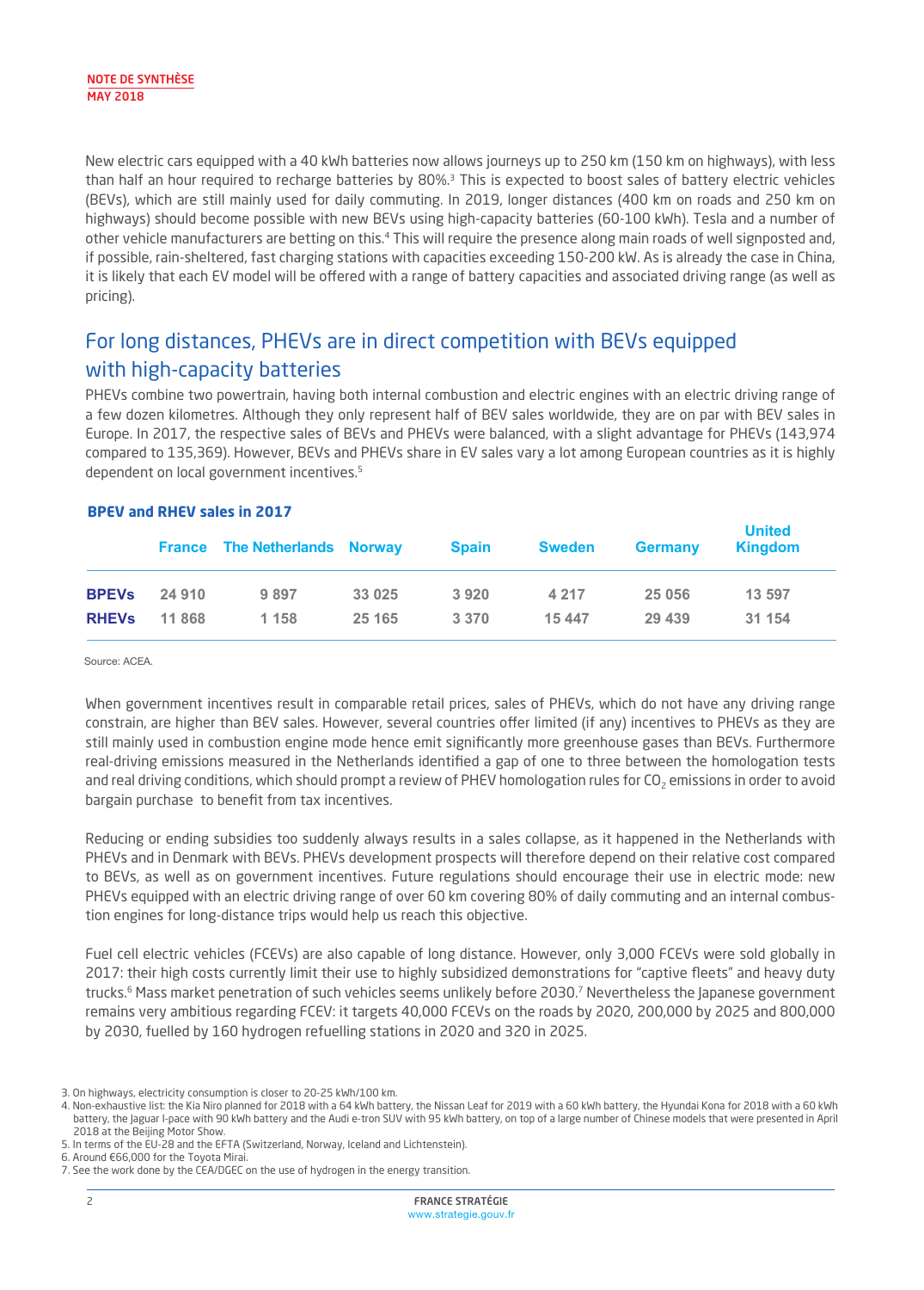New electric cars equipped with a 40 kWh batteries now allows journeys up to 250 km (150 km on highways), with less than half an hour required to recharge batteries by 80%.3 This is expected to boost sales of battery electric vehicles (BEVs), which are still mainly used for daily commuting. In 2019, longer distances (400 km on roads and 250 km on highways) should become possible with new BEVs using high-capacity batteries (60-100 kWh). Tesla and a number of other vehicle manufacturers are betting on this.4 This will require the presence along main roads of well signposted and, if possible, rain-sheltered, fast charging stations with capacities exceeding 150-200 kW. As is already the case in China, it is likely that each EV model will be offered with a range of battery capacities and associated driving range (as well as pricing).

## For long distances, PHEVs are in direct competition with BEVs equipped with high-capacity batteries

PHEVs combine two powertrain, having both internal combustion and electric engines with an electric driving range of a few dozen kilometres. Although they only represent half of BEV sales worldwide, they are on par with BEV sales in Europe. In 2017, the respective sales of BEVs and PHEVs were balanced, with a slight advantage for PHEVs (143,974 compared to 135,369). However, BEVs and PHEVs share in EV sales vary a lot among European countries as it is highly dependent on local government incentives.<sup>5</sup>

|              |        | <b>France The Netherlands Norway</b> |         | <b>Spain</b> | <b>Sweden</b> | <b>Germany</b> | <b>United</b><br>Kingdom |
|--------------|--------|--------------------------------------|---------|--------------|---------------|----------------|--------------------------|
| <b>BPEVs</b> | 24 910 | 9 8 9 7                              | 33 0 25 | 3920         | 4 2 1 7       | 25 056         | 13 597                   |
| <b>RHEVS</b> | 11 868 | 1 1 5 8                              | 25 1 65 | 3 3 7 0      | 15 447        | 29 439         | 31 154                   |

#### **BPEV and RHEV sales in 2017**

Source: ACEA.

When government incentives result in comparable retail prices, sales of PHEVs, which do not have any driving range constrain, are higher than BEV sales. However, several countries offer limited (if any) incentives to PHEVs as they are still mainly used in combustion engine mode hence emit significantly more greenhouse gases than BEVs. Furthermore real-driving emissions measured in the Netherlands identified a gap of one to three between the homologation tests and real driving conditions, which should prompt a review of PHEV homologation rules for CO<sub>2</sub> emissions in order to avoid bargain purchase to benefit from tax incentives.

Reducing or ending subsidies too suddenly always results in a sales collapse, as it happened in the Netherlands with PHEVs and in Denmark with BEVs. PHEVs development prospects will therefore depend on their relative cost compared to BEVs, as well as on government incentives. Future regulations should encourage their use in electric mode: new PHEVs equipped with an electric driving range of over 60 km covering 80% of daily commuting and an internal combustion engines for long-distance trips would help us reach this objective.

Fuel cell electric vehicles (FCEVs) are also capable of long distance. However, only 3,000 FCEVs were sold globally in 2017: their high costs currently limit their use to highly subsidized demonstrations for "captive fleets" and heavy duty trucks.<sup>6</sup> Mass market penetration of such vehicles seems unlikely before 2030.<sup>7</sup> Nevertheless the Japanese government remains very ambitious regarding FCEV: it targets 40,000 FCEVs on the roads by 2020, 200,000 by 2025 and 800,000 by 2030, fuelled by 160 hydrogen refuelling stations in 2020 and 320 in 2025.

<sup>3.</sup> On highways, electricity consumption is closer to 20-25 kWh/100 km.

<sup>4.</sup> Non-exhaustive list: the Kia Niro planned for 2018 with a 64 kWh battery, the Nissan Leaf for 2019 with a 60 kWh battery, the Hyundai Kona for 2018 with a 60 kWh battery, the Jaguar I-pace with 90 kWh battery and the Audi e-tron SUV with 95 kWh battery, on top of a large number of Chinese models that were presented in April 2018 at the Beijing Motor Show.

<sup>5.</sup> In terms of the EU-28 and the EFTA (Switzerland, Norway, Iceland and Lichtenstein).

<sup>6.</sup> Around €66,000 for the Toyota Mirai.

<sup>7.</sup> See the work done by the CEA/DGEC on the use of hydrogen in the energy transition.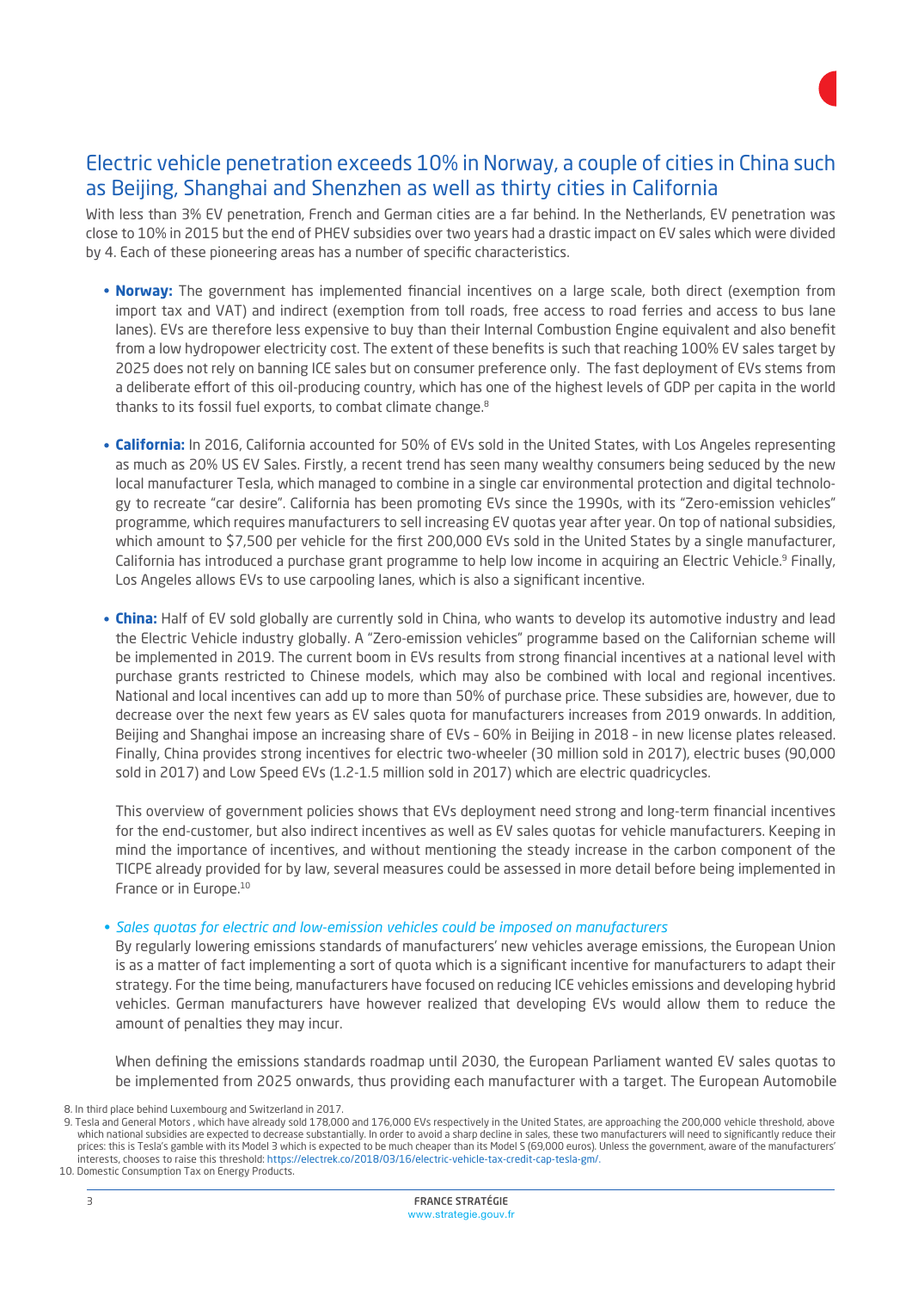

#### Electric vehicle penetration exceeds 10% in Norway, a couple of cities in China such as Beijing, Shanghai and Shenzhen as well as thirty cities in California

With less than 3% EV penetration, French and German cities are a far behind. In the Netherlands, EV penetration was close to 10% in 2015 but the end of PHEV subsidies over two years had a drastic impact on EV sales which were divided by 4. Each of these pioneering areas has a number of specific characteristics.

- **Norway:** The government has implemented financial incentives on a large scale, both direct (exemption from import tax and VAT) and indirect (exemption from toll roads, free access to road ferries and access to bus lane lanes). EVs are therefore less expensive to buy than their Internal Combustion Engine equivalent and also benefit from a low hydropower electricity cost. The extent of these benefits is such that reaching 100% EV sales target by 2025 does not rely on banning ICE sales but on consumer preference only. The fast deployment of EVs stems from a deliberate effort of this oil-producing country, which has one of the highest levels of GDP per capita in the world thanks to its fossil fuel exports, to combat climate change.<sup>8</sup>
- **California:** In 2016, California accounted for 50% of EVs sold in the United States, with Los Angeles representing as much as 20% US EV Sales. Firstly, a recent trend has seen many wealthy consumers being seduced by the new local manufacturer Tesla, which managed to combine in a single car environmental protection and digital technology to recreate "car desire". California has been promoting EVs since the 1990s, with its "Zero-emission vehicles" programme, which requires manufacturers to sell increasing EV quotas year after year. On top of national subsidies, which amount to \$7,500 per vehicle for the first 200,000 EVs sold in the United States by a single manufacturer, California has introduced a purchase grant programme to help low income in acquiring an Electric Vehicle.9 Finally, Los Angeles allows EVs to use carpooling lanes, which is also a significant incentive.
- **China:** Half of EV sold globally are currently sold in China, who wants to develop its automotive industry and lead the Electric Vehicle industry globally. A "Zero-emission vehicles" programme based on the Californian scheme will be implemented in 2019. The current boom in EVs results from strong financial incentives at a national level with purchase grants restricted to Chinese models, which may also be combined with local and regional incentives. National and local incentives can add up to more than 50% of purchase price. These subsidies are, however, due to decrease over the next few years as EV sales quota for manufacturers increases from 2019 onwards. In addition, Beijing and Shanghai impose an increasing share of EVs – 60% in Beijing in 2018 – in new license plates released. Finally, China provides strong incentives for electric two-wheeler (30 million sold in 2017), electric buses (90,000 sold in 2017) and Low Speed EVs (1.2-1.5 million sold in 2017) which are electric quadricycles.

This overview of government policies shows that EVs deployment need strong and long-term financial incentives for the end-customer, but also indirect incentives as well as EV sales quotas for vehicle manufacturers. Keeping in mind the importance of incentives, and without mentioning the steady increase in the carbon component of the TICPE already provided for by law, several measures could be assessed in more detail before being implemented in France or in Europe.<sup>10</sup>

#### *Sales quotas for electric and low-emission vehicles could be imposed on manufacturers* •

By regularly lowering emissions standards of manufacturers' new vehicles average emissions, the European Union is as a matter of fact implementing a sort of quota which is a significant incentive for manufacturers to adapt their strategy. For the time being, manufacturers have focused on reducing ICE vehicles emissions and developing hybrid vehicles. German manufacturers have however realized that developing EVs would allow them to reduce the amount of penalties they may incur.

When defining the emissions standards roadmap until 2030, the European Parliament wanted EV sales quotas to be implemented from 2025 onwards, thus providing each manufacturer with a target. The European Automobile

<sup>8.</sup> In third place behind Luxembourg and Switzerland in 2017.

<sup>9.</sup> Tesla and General Motors , which have already sold 178,000 and 176,000 EVs respectively in the United States, are approaching the 200,000 vehicle threshold, above which national subsidies are expected to decrease substantially. In order to avoid a sharp decline in sales, these two manufacturers will need to significantly reduce their prices: this is Tesla's gamble with its Model 3 which is expected to be much cheaper than its Model S (69,000 euros). Unless the government, aware of the manufacturers' interests, chooses to raise this threshold: https://electrek.co/2018/03/16/electric-vehicle-tax-credit-cap-tesla-gm/. 10. Domestic Consumption Tax on Energy Products.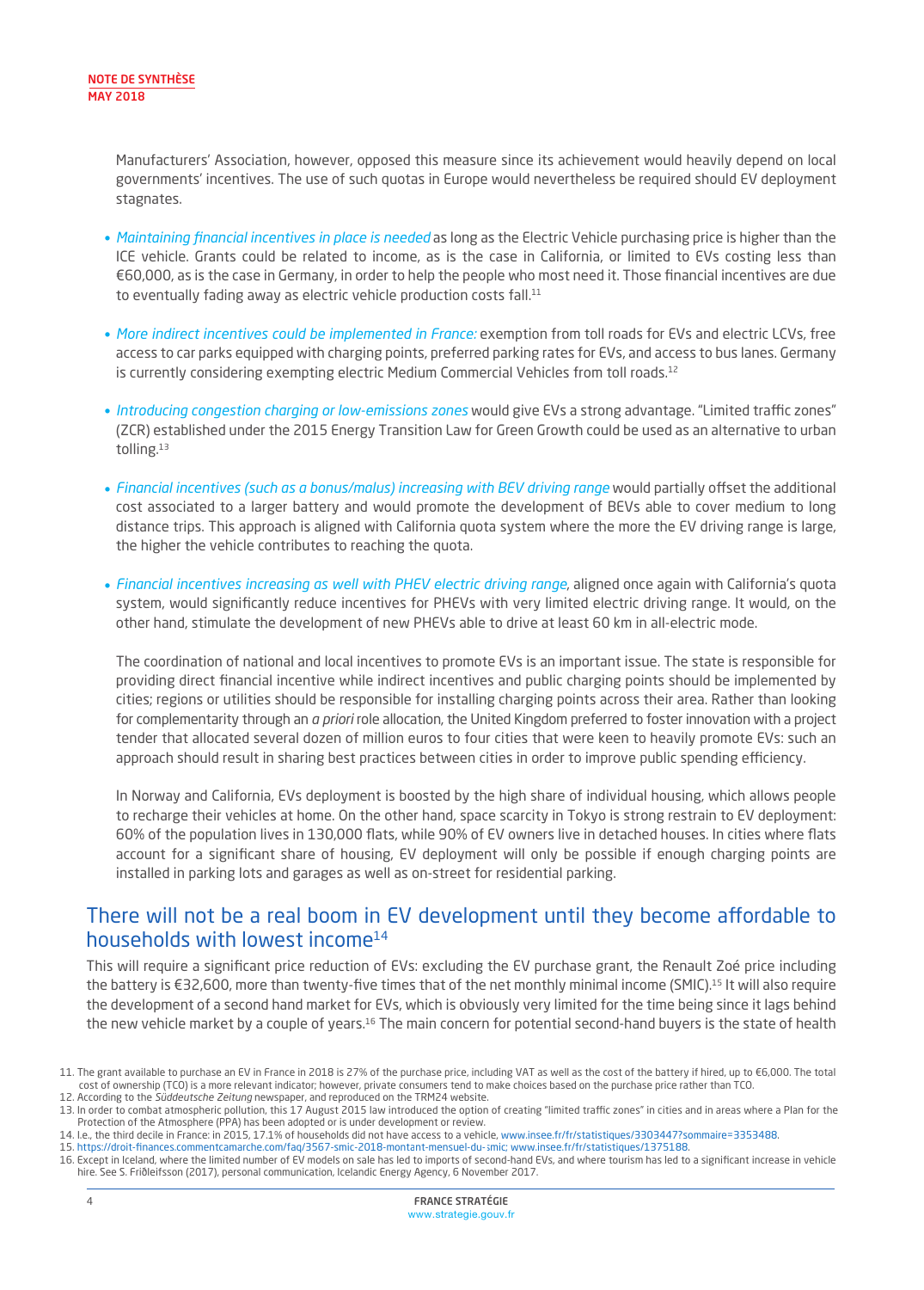Manufacturers' Association, however, opposed this measure since its achievement would heavily depend on local governments' incentives. The use of such quotas in Europe would nevertheless be required should EV deployment stagnates.

- *Maintaining financial incentives in place is needed* as long as the Electric Vehicle purchasing price is higher than the ICE vehicle. Grants could be related to income, as is the case in California, or limited to EVs costing less than €60,000, as is the case in Germany, in order to help the people who most need it. Those financial incentives are due to eventually fading away as electric vehicle production costs fall.<sup>11</sup>
- *More indirect incentives could be implemented in France:* exemption from toll roads for EVs and electric LCVs, free access to car parks equipped with charging points, preferred parking rates for EVs, and access to bus lanes. Germany is currently considering exempting electric Medium Commercial Vehicles from toll roads.<sup>12</sup>
- *Introducing congestion charging or low-emissions zones* would give EVs a strong advantage. "Limited traffic zones" (ZCR) established under the 2015 Energy Transition Law for Green Growth could be used as an alternative to urban tolling.13
- Financial incentives (such as a bonus/malus) increasing with BEV driving range would partially offset the additional cost associated to a larger battery and would promote the development of BEVs able to cover medium to long distance trips. This approach is aligned with California quota system where the more the EV driving range is large, the higher the vehicle contributes to reaching the quota.
- *Financial incentives increasing as well with PHEV electric driving range*, aligned once again with California's quota •system, would significantly reduce incentives for PHEVs with very limited electric driving range. It would, on the other hand, stimulate the development of new PHEVs able to drive at least 60 km in all-electric mode.

The coordination of national and local incentives to promote EVs is an important issue. The state is responsible for providing direct financial incentive while indirect incentives and public charging points should be implemented by cities; regions or utilities should be responsible for installing charging points across their area. Rather than looking for complementarity through an *a priori* role allocation, the United Kingdom preferred to foster innovation with a project tender that allocated several dozen of million euros to four cities that were keen to heavily promote EVs: such an approach should result in sharing best practices between cities in order to improve public spending efficiency.

In Norway and California, EVs deployment is boosted by the high share of individual housing, which allows people to recharge their vehicles at home. On the other hand, space scarcity in Tokyo is strong restrain to EV deployment: 60% of the population lives in 130,000 flats, while 90% of EV owners live in detached houses. In cities where flats account for a significant share of housing, EV deployment will only be possible if enough charging points are installed in parking lots and garages as well as on-street for residential parking.

#### There will not be a real boom in EV development until they become affordable to households with lowest income<sup>14</sup>

This will require a significant price reduction of EVs: excluding the EV purchase grant, the Renault Zoé price including the battery is €32,600, more than twenty-five times that of the net monthly minimal income (SMIC).15 It will also require the development of a second hand market for EVs, which is obviously very limited for the time being since it lags behind the new vehicle market by a couple of years.16 The main concern for potential second-hand buyers is the state of health

<sup>11.</sup> The grant available to purchase an EV in France in 2018 is 27% of the purchase price, including VAT as well as the cost of the battery if hired, up to €6,000. The total cost of ownership (TCO) is a more relevant indicator; however, private consumers tend to make choices based on the purchase price rather than TCO. 12. According to the *Süddeutsche Zeitung* newspaper, and reproduced on the TRM24 website.

<sup>13.</sup> In order to combat atmospheric pollution, this 17 August 2015 law introduced the option of creating "limited traffic zones" in cities and in areas where a Plan for the Protection of the Atmosphere (PPA) has been adopted or is under development or review.

<sup>14.</sup> I.e., the third decile in France: in 2015, 17.1% of households did not have access to a vehicle, www.insee.fr/fr/statistiques/3303447?sommaire=3353488.

<sup>15.</sup> https://droit-finances.commentcamarche.com/faq/35[67-smic-201](https://trm24.fr/en-allemagne-les-poids-lourds-electriques-exemptes-de-peage-en-2019/)8-mont[ant-mensuel-du-s](https://trm24.fr/en-allemagne-les-poids-lourds-electriques-exemptes-de-peage-en-2019/)mic; www.insee.fr/fr/statistiques/1375188.

<sup>16.</sup> Except in Iceland, where the limited number of EV models on sale has led to imports of second-hand EVs, and where tourism has led to a significant increase in vehicle hire. See S. Friðleifsson (2017), personal communication, Icelandic Energy Agency, 6 November 2017.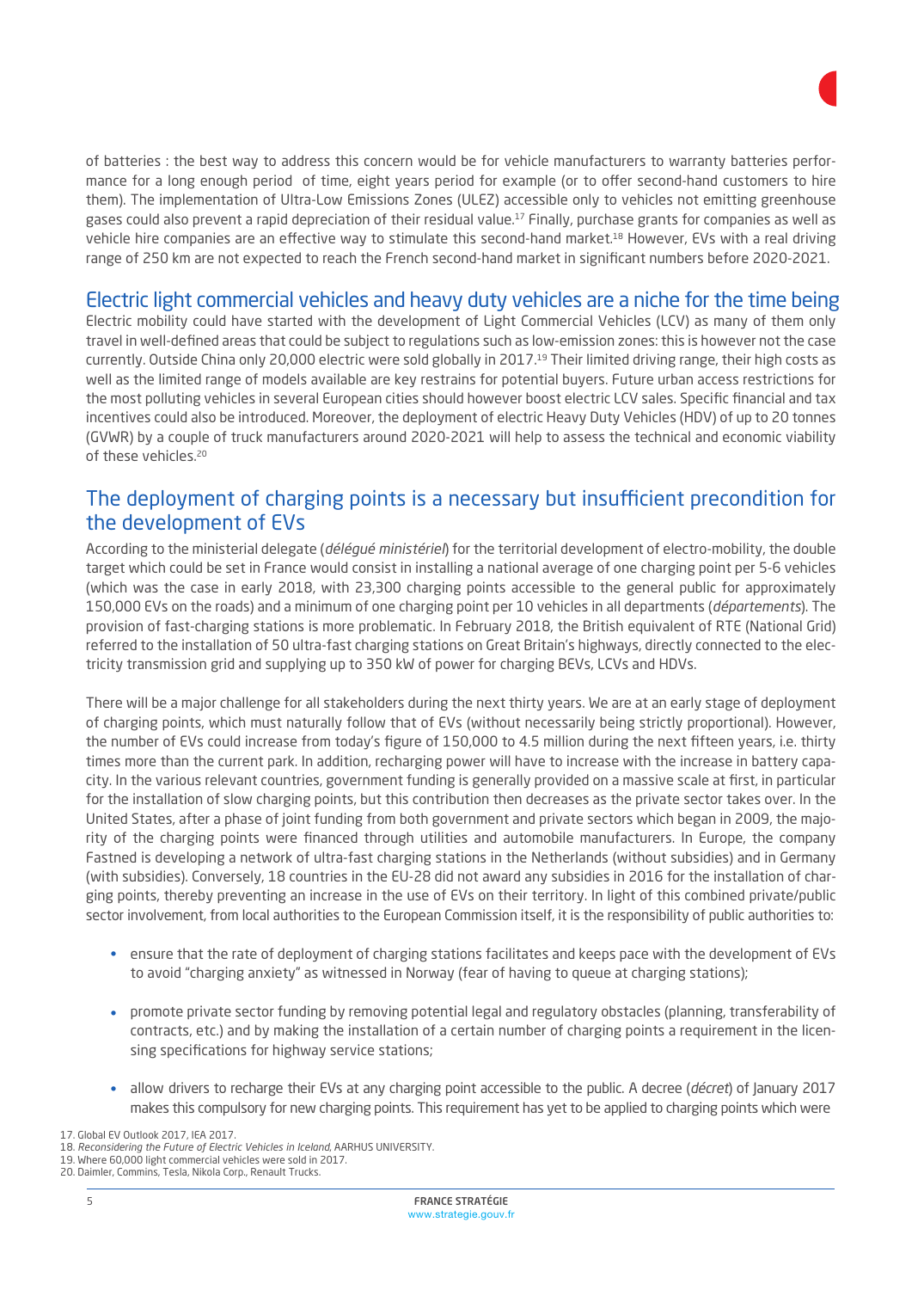

of batteries : the best way to address this concern would be for vehicle manufacturers to warranty batteries performance for a long enough period of time, eight years period for example (or to offer second-hand customers to hire them). The implementation of Ultra-Low Emissions Zones (ULEZ) accessible only to vehicles not emitting greenhouse gases could also prevent a rapid depreciation of their residual value.17 Finally, purchase grants for companies as well as vehicle hire companies are an effective way to stimulate this second-hand market.<sup>18</sup> However, EVs with a real driving range of 250 km are not expected to reach the French second-hand market in significant numbers before 2020-2021.

#### Electric light commercial vehicles and heavy duty vehicles are a niche for the time being

Electric mobility could have started with the development of Light Commercial Vehicles (LCV) as many of them only travel in well-defined areas that could be subject to regulations such as low-emission zones: this is however not the case currently. Outside China only 20,000 electric were sold globally in 2017.<sup>19</sup> Their limited driving range, their high costs as well as the limited range of models available are key restrains for potential buyers. Future urban access restrictions for the most polluting vehicles in several European cities should however boost electric LCV sales. Specific financial and tax incentives could also be introduced. Moreover, the deployment of electric Heavy Duty Vehicles (HDV) of up to 20 tonnes (GVWR) by a couple of truck manufacturers around 2020-2021 will help to assess the technical and economic viability of these vehicles.20

#### The deployment of charging points is a necessary but insufficient precondition for the development of EVs

According to the ministerial delegate (*délégué ministériel*) for the territorial development of electro-mobility, the double target which could be set in France would consist in installing a national average of one charging point per 5-6 vehicles (which was the case in early 2018, with 23,300 charging points accessible to the general public for approximately 150,000 EVs on the roads) and a minimum of one charging point per 10 vehicles in all departments (*départements*). The provision of fast-charging stations is more problematic. In February 2018, the British equivalent of RTE (National Grid) referred to the installation of 50 ultra-fast charging stations on Great Britain's highways, directly connected to the electricity transmission grid and supplying up to 350 kW of power for charging BEVs, LCVs and HDVs.

There will be a major challenge for all stakeholders during the next thirty years. We are at an early stage of deployment of charging points, which must naturally follow that of EVs (without necessarily being strictly proportional). However, the number of EVs could increase from today's figure of 150,000 to 4.5 million during the next fifteen years, i.e. thirty times more than the current park. In addition, recharging power will have to increase with the increase in battery capacity. In the various relevant countries, government funding is generally provided on a massive scale at first, in particular for the installation of slow charging points, but this contribution then decreases as the private sector takes over. In the United States, after a phase of joint funding from both government and private sectors which began in 2009, the majority of the charging points were financed through utilities and automobile manufacturers. In Europe, the company Fastned is developing a network of ultra-fast charging stations in the Netherlands (without subsidies) and in Germany (with subsidies). Conversely, 18 countries in the EU-28 did not award any subsidies in 2016 for the installation of charging points, thereby preventing an increase in the use of EVs on their territory. In light of this combined private/public sector involvement, from local authorities to the European Commission itself, it is the responsibility of public authorities to:

- ensure that the rate of deployment of charging stations facilitates and keeps pace with the development of EVs to avoid "charging anxiety" as witnessed in Norway (fear of having to queue at charging stations); •
- promote private sector funding by removing potential legal and regulatory obstacles (planning, transferability of contracts, etc.) and by making the installation of a certain number of charging points a requirement in the licensing specifications for highway service stations;
- allow drivers to recharge their EVs at any charging point accessible to the public. A decree (*décret*) of January 2017 makes this compulsory for new charging points. This requirement has yet to be applied to charging points which were •

<sup>17.</sup> Global EV Outlook 2017, IEA 2017.

<sup>18.</sup> *Reconsidering the Future of Electric Vehicles in Iceland*, AARHUS UNIVERSITY.

<sup>19.</sup> Where 60,000 light commercial vehicles were sold in 2017.

<sup>20.</sup> Daimler, Commins, Tesla, Nikola Corp., Renault Trucks.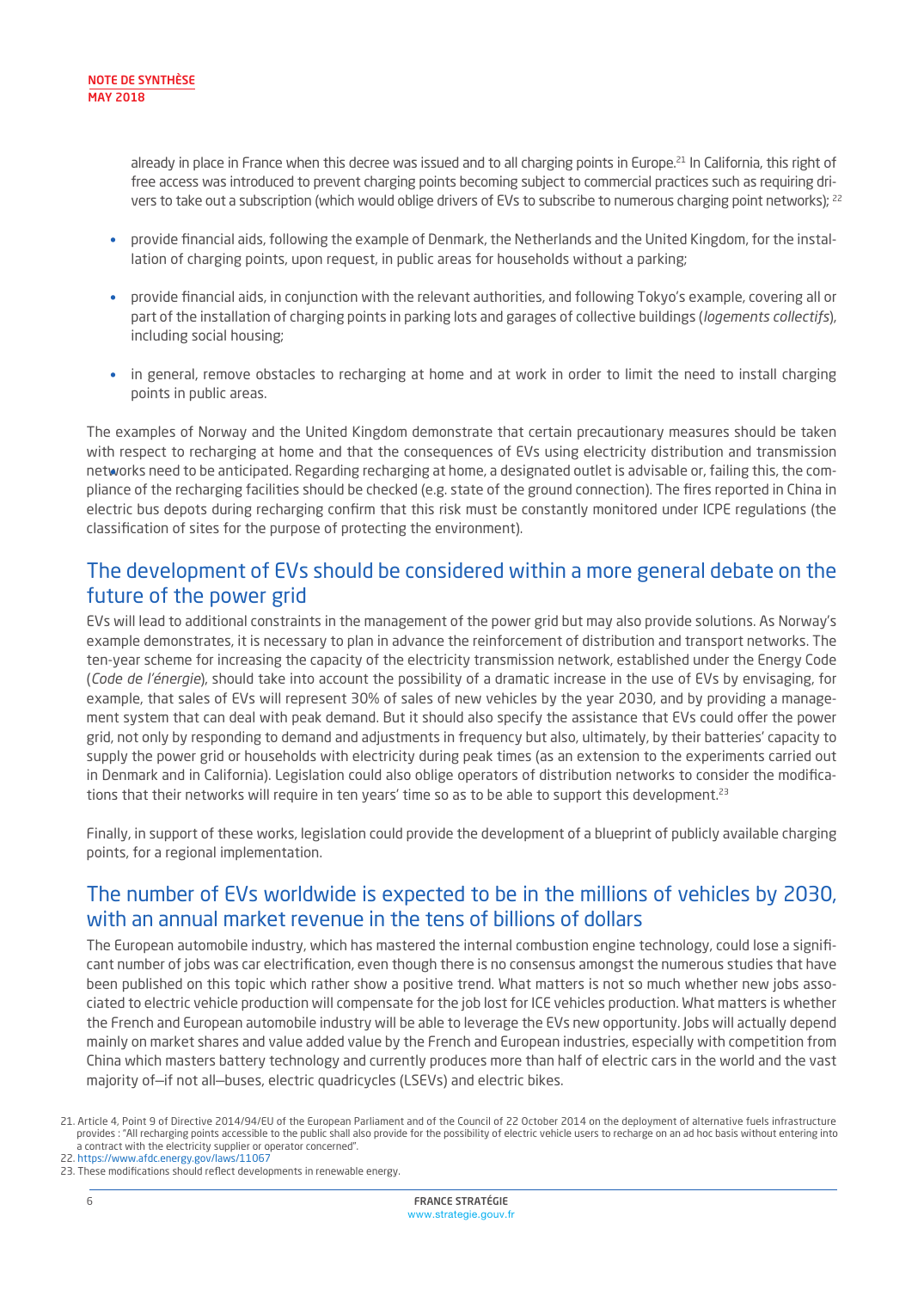already in place in France when this decree was issued and to all charging points in Europe.<sup>21</sup> In California, this right of free access was introduced to prevent charging points becoming subject to commercial practices such as requiring drivers to take out a subscription (which would oblige drivers of EVs to subscribe to numerous charging point networks); <sup>22</sup>

- provide financial aids, following the example of Denmark, the Netherlands and the United Kingdom, for the installation of charging points, upon request, in public areas for households without a parking; •
- provide financial aids, in conjunction with the relevant authorities, and following Tokyo's example, covering all or part of the installation of charging points in parking lots and garages of collective buildings (*logements collectifs*), including social housing; •
- in general, remove obstacles to recharging at home and at work in order to limit the need to install charging points in public areas. •

The examples of Norway and the United Kingdom demonstrate that certain precautionary measures should be taken with respect to recharging at home and that the consequences of EVs using electricity distribution and transmission networks need to be anticipated. Regarding recharging at home, a designated outlet is advisable or, failing this, the com-• pliance of the recharging facilities should be checked (e.g. state of the ground connection). The fires reported in China in electric bus depots during recharging confirm that this risk must be constantly monitored under ICPE regulations (the classification of sites for the purpose of protecting the environment).

#### The development of EVs should be considered within a more general debate on the future of the power grid

EVs will lead to additional constraints in the management of the power grid but may also provide solutions. As Norway's example demonstrates, it is necessary to plan in advance the reinforcement of distribution and transport networks. The ten-year scheme for increasing the capacity of the electricity transmission network, established under the Energy Code (*Code de l'énergie*), should take into account the possibility of a dramatic increase in the use of EVs by envisaging, for example, that sales of EVs will represent 30% of sales of new vehicles by the year 2030, and by providing a management system that can deal with peak demand. But it should also specify the assistance that EVs could offer the power grid, not only by responding to demand and adjustments in frequency but also, ultimately, by their batteries' capacity to supply the power grid or households with electricity during peak times (as an extension to the experiments carried out in Denmark and in California). Legislation could also oblige operators of distribution networks to consider the modifications that their networks will require in ten years' time so as to be able to support this development.<sup>23</sup>

Finally, in support of these works, legislation could provide the development of a blueprint of publicly available charging points, for a regional implementation.

#### The number of EVs worldwide is expected to be in the millions of vehicles by 2030, with an annual market revenue in the tens of billions of dollars

The European automobile industry, which has mastered the internal combustion engine technology, could lose a significant number of jobs was car electrification, even though there is no consensus amongst the numerous studies that have been published on this topic which rather show a positive trend. What matters is not so much whether new jobs associated to electric vehicle production will compensate for the job lost for ICE vehicles production. What matters is whether the French and European automobile industry will be able to leverage the EVs new opportunity. Jobs will actually depend mainly on market shares and value added value by the French and European industries, especially with competition from China which masters battery technology and currently produces more than half of electric cars in the world and the vast majority of—if not all—buses, electric quadricycles (LSEVs) and electric bikes.

<sup>21.</sup> Article 4, Point 9 of Directive 2014/94/EU of the European Parliament and of the Council of 22 October 2014 on the deployment of alternative fuels infrastructure provides : "All recharging points accessible to the public shall also provide for the possibility of electric vehicle users to recharge on an ad hoc basis without entering into a contract with the electricity supplier or operator concerned".

<sup>22.</sup> https://www.afdc.energy.gov/laws/11067

<sup>23.</sup> These modifications should reflect developments in renewable energy.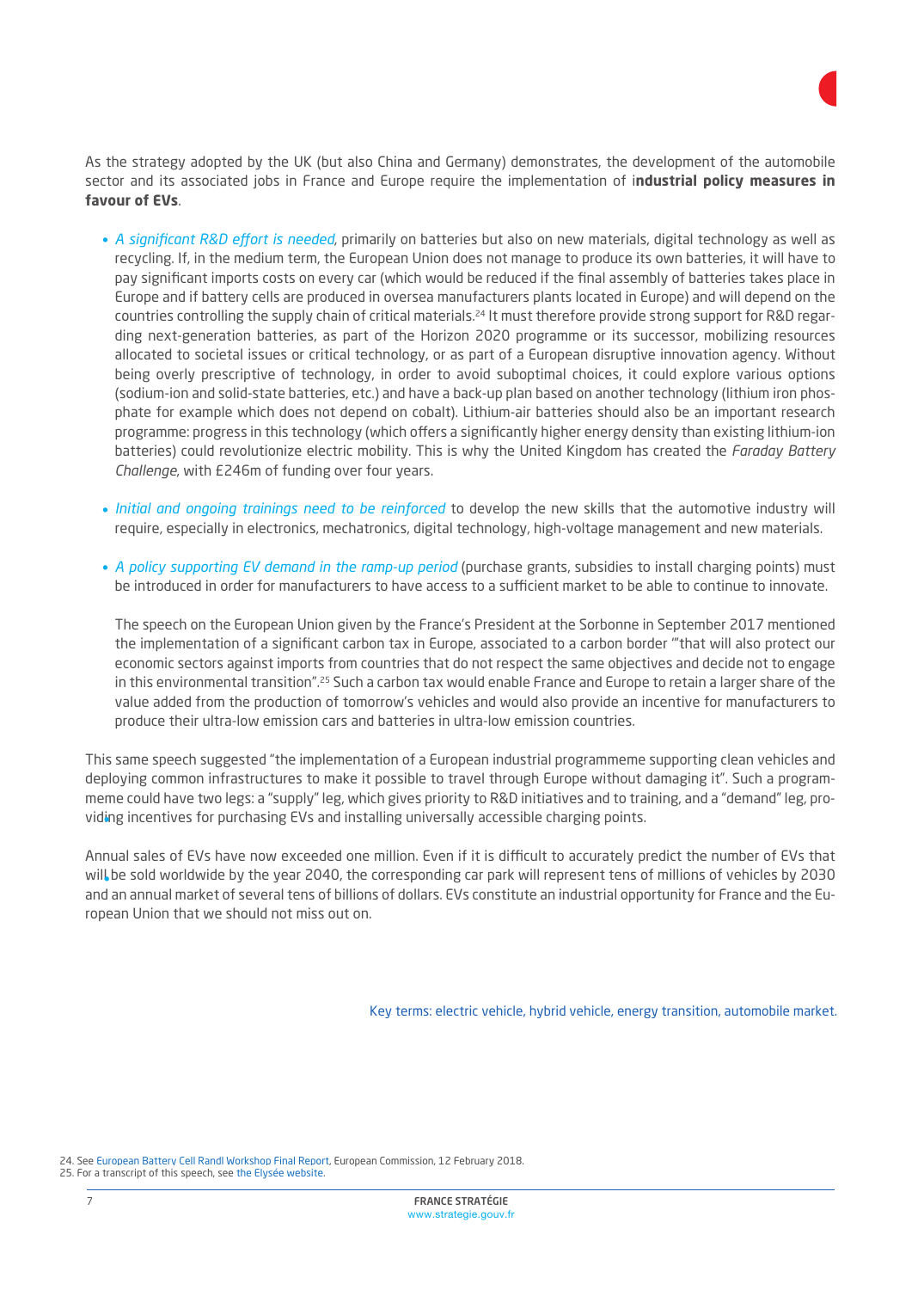As the strategy adopted by the UK (but also China and Germany) demonstrates, the development of the automobile sector and its associated jobs in France and Europe require the implementation of i**ndustrial policy measures in favour of EVs**.

- A significant R&D effort is needed, primarily on batteries but also on new materials, digital technology as well as recycling. If, in the medium term, the European Union does not manage to produce its own batteries, it will have to pay significant imports costs on every car (which would be reduced if the final assembly of batteries takes place in Europe and if battery cells are produced in oversea manufacturers plants located in Europe) and will depend on the countries controlling the supply chain of critical materials.<sup>24</sup> It must therefore provide strong support for R&D regarding next-generation batteries, as part of the Horizon 2020 programme or its successor, mobilizing resources allocated to societal issues or critical technology, or as part of a European disruptive innovation agency. Without being overly prescriptive of technology, in order to avoid suboptimal choices, it could explore various options (sodium-ion and solid-state batteries, etc.) and have a back-up plan based on another technology (lithium iron phosphate for example which does not depend on cobalt). Lithium-air batteries should also be an important research programme: progress in this technology (which offers a significantly higher energy density than existing lithium-ion batteries) could revolutionize electric mobility. This is why the United Kingdom has created the *Faraday Battery Challenge*, with £246m of funding over four years.
- *Initial and ongoing trainings need to be reinforced* to develop the new skills that the automotive industry will require, especially in electronics, mechatronics, digital technology, high-voltage management and new materials.
- *A policy supporting EV demand in the ramp-up period* (purchase grants, subsidies to install charging points) must be introduced in order for manufacturers to have access to a sufficient market to be able to continue to innovate.

The speech on the European Union given by the France's President at the Sorbonne in September 2017 mentioned the implementation of a significant carbon tax in Europe, associated to a carbon border '"that will also protect our economic sectors against imports from countries that do not respect the same objectives and decide not to engage in this environmental transition".25 Such a carbon tax would enable France and Europe to retain a larger share of the value added from the production of tomorrow's vehicles and would also provide an incentive for manufacturers to produce their ultra-low emission cars and batteries in ultra-low emission countries.

This same speech suggested "the implementation of a European industrial programmeme supporting clean vehicles and deploying common infrastructures to make it possible to travel through Europe without damaging it". Such a programmeme could have two legs: a "supply" leg, which gives priority to R&D initiatives and to training, and a "demand" leg, providing incentives for purchasing EVs and installing universally accessible charging points. •

Annual sales of EVs have now exceeded one million. Even if it is difficult to accurately predict the number of EVs that will be sold worldwide by the year 2040, the corresponding car park will represent tens of millions of vehicles by 2030 • and an annual market of several tens of billions of dollars. EVs constitute an industrial opportunity for France and the European Union that we should not miss out on.

Key terms: electric vehicle, hybrid vehicle, energy transition, automobile market.

24. [See European Battery Cell Randl Workshop Final Report,](https://h2020.org.tr/en/news/european-battery-cell-ri-workshop-summary-report) European Commission, 12 February 2018. 25. For [a transcript of this speech, see the Elysée website.](https://h2020.org.tr/en/news/european-battery-cell-ri-workshop-summary-report)